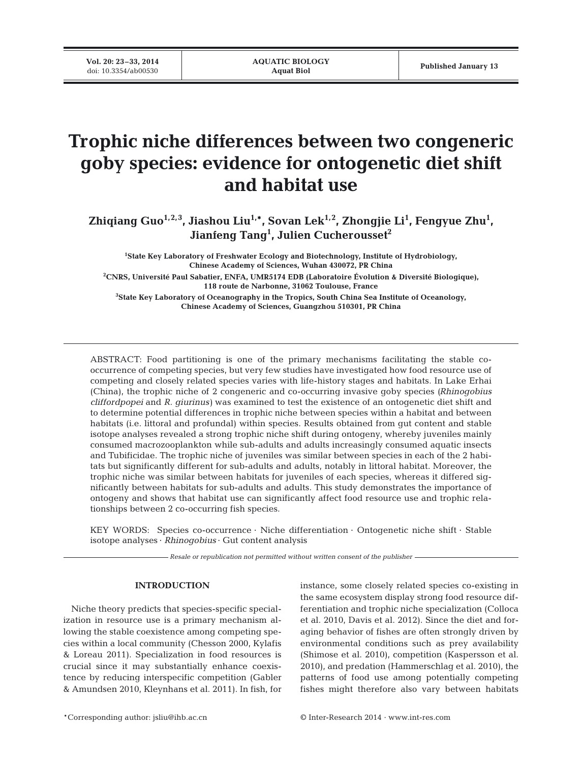**Vol. 20: 23–33, 2014**<br>doi: 10.3354/ab00530

# **Trophic niche differences between two congeneric goby species: evidence for ontogenetic diet shift and habitat use**

**Zhiqiang Guo1,2,3, Jiashou Liu1,\*, Sovan Lek1,2, Zhongjie Li1 , Fengyue Zhu1 , Jianfeng Tang1 , Julien Cucherousset2**

**1 State Key Laboratory of Freshwater Ecology and Biotechnology, Institute of Hydrobiology, Chinese Academy of Sciences, Wuhan 430072, PR China 2 CNRS, Université Paul Sabatier, ENFA, UMR5174 EDB (Laboratoire Évolution & Diversité Biologique), 118 route de Narbonne, 31062 Toulouse, France**

**3 State Key Laboratory of Oceanography in the Tropics, South China Sea Institute of Oceanology, Chinese Academy of Sciences, Guangzhou 510301, PR China**

ABSTRACT: Food partitioning is one of the primary mechanisms facilitating the stable cooccurrence of competing species, but very few studies have investigated how food resource use of competing and closely related species varies with life-history stages and habitats. In Lake Erhai (China), the trophic niche of 2 congeneric and co-occurring invasive goby species *(Rhinogobius cliffordpopei* and *R. giurinus)* was examined to test the existence of an ontogenetic diet shift and to determine potential differences in trophic niche between species within a habitat and between habitats (i.e. littoral and profundal) within species. Results obtained from gut content and stable isotope analyses revealed a strong trophic niche shift during ontogeny, whereby juveniles mainly consumed macrozooplankton while sub-adults and adults increasingly consumed aquatic insects and Tubificidae. The trophic niche of juveniles was similar between species in each of the 2 habitats but significantly different for sub-adults and adults, notably in littoral habitat. Moreover, the trophic niche was similar between habitats for juveniles of each species, whereas it differed significantly between habitats for sub-adults and adults. This study demonstrates the importance of ontogeny and shows that habitat use can significantly affect food resource use and trophic relationships between 2 co-occurring fish species.

KEY WORDS: Species co-occurrence · Niche differentiation · Ontogenetic niche shift · Stable isotope analyses · *Rhinogobius* · Gut content analysis

*Resale or republication not permitted without written consent of the publisher*

## **INTRODUCTION**

Niche theory predicts that species-specific specialization in resource use is a primary mechanism allowing the stable coexistence among competing species within a local community (Chesson 2000, Kylafis & Loreau 2011). Specialization in food resources is crucial since it may substantially enhance coexistence by reducing interspecific competition (Gabler & Amundsen 2010, Kleynhans et al. 2011). In fish, for instance, some closely related species co-existing in the same ecosystem display strong food resource differentiation and trophic niche specialization (Colloca et al. 2010, Davis et al. 2012). Since the diet and foraging behavior of fishes are often strongly driven by environmental conditions such as prey availability (Shimose et al. 2010), competition (Kaspersson et al. 2010), and predation (Hammerschlag et al. 2010), the patterns of food use among potentially competing fishes might therefore also vary between habitats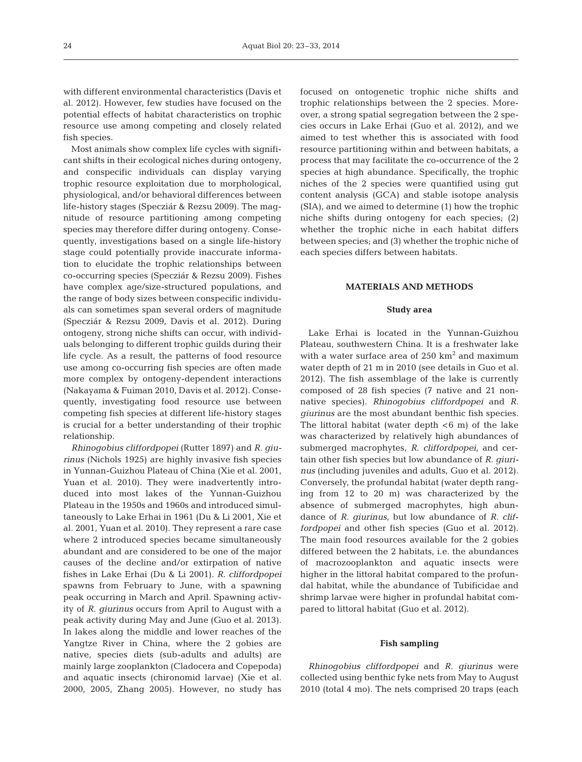with different environmental characteristics (Davis et al. 2012). However, few studies have focused on the potential effects of habitat characteristics on trophic resource use among competing and closely related fish species.

Most animals show complex life cycles with significant shifts in their ecological niches during ontogeny, and conspecific individuals can display varying trophic resource exploitation due to morphological, physiological, and/or behavioral differences between life-history stages (Specziár & Rezsu 2009). The mag ni tude of resource partitioning among competing species may therefore differ during ontogeny. Consequently, investigations based on a single life-history stage could potentially provide inaccurate informa tion to elucidate the trophic relationships between co-occurring species (Specziár & Rezsu 2009). Fishes have complex age/size-structured populations, and the range of body sizes between conspecific individuals can sometimes span several orders of magnitude (Specziár & Rezsu 2009, Davis et al. 2012). During ontogeny, strong niche shifts can occur, with individuals belonging to different trophic guilds during their life cycle. As a result, the patterns of food resource use among co-occurring fish species are often made more complex by ontogeny- dependent interactions (Naka yama & Fuiman 2010, Davis et al. 2012). Consequently, investigating food resource use between competing fish species at different life-history stages is crucial for a better understanding of their trophic relationship.

*Rhinogobius cliffordpopei* (Rutter 1897) and *R. giu rinus* (Nichols 1925) are highly invasive fish species in Yunnan-Guizhou Plateau of China (Xie et al. 2001, Yuan et al. 2010). They were inadvertently introduced into most lakes of the Yunnan-Guizhou Plateau in the 1950s and 1960s and introduced simultaneously to Lake Erhai in 1961 (Du & Li 2001, Xie et al. 2001, Yuan et al. 2010). They represent a rare case where 2 introduced species became simultaneously abundant and are considered to be one of the major causes of the decline and/or extirpation of native fishes in Lake Erhai (Du & Li 2001). *R. cliffordpopei* spawns from February to June, with a spawning peak occurring in March and April. Spawning activity of *R. giurinus* occurs from April to August with a peak activity during May and June (Guo et al. 2013). In lakes along the middle and lower reaches of the Yangtze River in China, where the 2 gobies are native, species diets (sub-adults and adults) are mainly large zooplankton (Cladocera and Copepoda) and aquatic insects (chironomid larvae) (Xie et al. 2000, 2005, Zhang 2005). However, no study has

focused on ontogenetic trophic niche shifts and trophic relationships between the 2 species. Moreover, a strong spatial segregation between the 2 species occurs in Lake Erhai (Guo et al. 2012), and we aimed to test whether this is associated with food resource partitioning within and between habitats, a process that may facilitate the co-occurrence of the 2 species at high abundance. Specifically, the trophic niches of the 2 species were quantified using gut content analysis (GCA) and stable isotope analysis (SIA), and we aimed to determine (1) how the trophic niche shifts during ontogeny for each species; (2) whether the trophic niche in each habitat differs between species; and (3) whether the trophic niche of each species differs between habitats.

## **MATERIALS AND METHODS**

#### **Study area**

Lake Erhai is located in the Yunnan-Guizhou Plateau, southwestern China. It is a freshwater lake with a water surface area of  $250 \text{ km}^2$  and maximum water depth of 21 m in 2010 (see details in Guo et al. 2012). The fish assemblage of the lake is currently composed of 28 fish species (7 native and 21 nonnative species). *Rhinogobius cliffordpopei* and *R. giurinus* are the most abundant benthic fish species. The littoral habitat (water depth  $<6$  m) of the lake was characterized by relatively high abundances of submerged macrophytes, *R. cliffordpopei*, and certain other fish species but low abundance of *R. giurinus* (including juveniles and adults, Guo et al. 2012). Conversely, the profundal habitat (water depth ranging from 12 to 20 m) was characterized by the absence of submerged macrophytes, high abundance of *R. giurinus*, but low abundance of *R. cliffordpopei* and other fish species (Guo et al. 2012). The main food resources available for the 2 gobies differed between the 2 habitats, i.e. the abundances of macrozooplankton and aquatic insects were higher in the littoral habitat compared to the profundal habitat, while the abundance of Tubificidae and shrimp larvae were higher in profundal habitat compared to littoral habitat (Guo et al. 2012).

#### **Fish sampling**

*Rhinogobius cliffordpopei* and *R. giurinus* were collected using benthic fyke nets from May to August 2010 (total 4 mo). The nets comprised 20 traps (each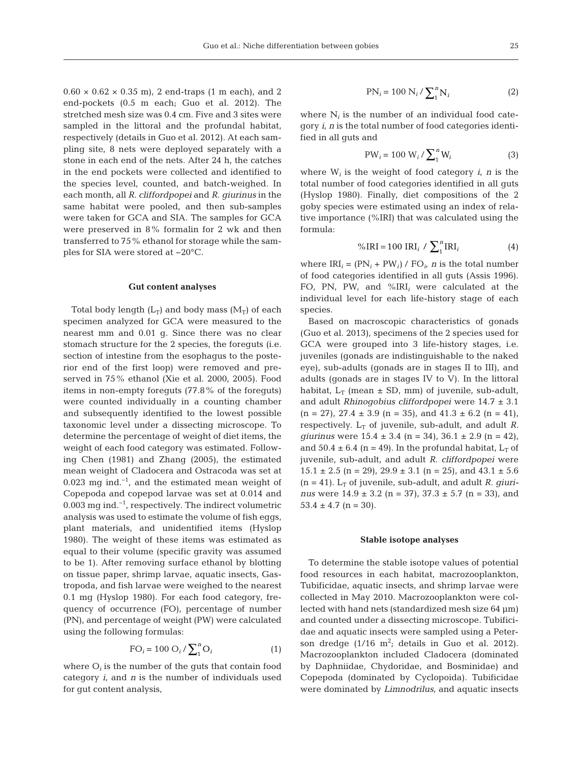$0.60 \times 0.62 \times 0.35$  m), 2 end-traps (1 m each), and 2 end-pockets (0.5 m each; Guo et al. 2012). The stretched mesh size was 0.4 cm. Five and 3 sites were sampled in the littoral and the profundal habitat, respectively (details in Guo et al. 2012). At each sampling site, 8 nets were deployed separately with a stone in each end of the nets. After 24 h, the catches in the end pockets were collected and identified to the species level, counted, and batch-weighed. In each month, all *R. cliffordpopei* and *R. giurinus* in the same habitat were pooled, and then sub-samples were taken for GCA and SIA. The samples for GCA were preserved in 8% formalin for 2 wk and then transferred to 75% ethanol for storage while the samples for SIA were stored at −20°C.

#### **Gut content analyses**

Total body length  $(L_T)$  and body mass  $(M_T)$  of each specimen analyzed for GCA were measured to the nearest mm and 0.01 g. Since there was no clear stomach structure for the 2 species, the foreguts (i.e. section of intestine from the esophagus to the posterior end of the first loop) were removed and preserved in 75% ethanol (Xie et al. 2000, 2005). Food items in non-empty foreguts (77.8% of the foreguts) were counted individually in a counting chamber and subsequently identified to the lowest possible taxonomic level under a dissecting microscope. To determine the percentage of weight of diet items, the weight of each food category was estimated. Following Chen (1981) and Zhang (2005), the estimated mean weight of Cladocera and Ostracoda was set at 0.023 mg ind.−1, and the estimated mean weight of Copepoda and copepod larvae was set at 0.014 and 0.003 mg ind.−1, respectively. The indirect volumetric analysis was used to estimate the volume of fish eggs, plant materials, and unidentified items (Hyslop 1980). The weight of these items was estimated as equal to their volume (specific gravity was assumed to be 1). After removing surface ethanol by blotting on tissue paper, shrimp larvae, aquatic insects, Gastropoda, and fish larvae were weighed to the nearest 0.1 mg (Hyslop 1980). For each food category, frequency of occurrence (FO), percentage of number (PN), and percentage of weight (PW) were calculated using the following formulas:

$$
FO_i = 100 O_i / \sum_{i=1}^{n} O_i \tag{1}
$$

where  $O_i$  is the number of the guts that contain food category *i*, and *n* is the number of individuals used for gut content analysis,

$$
PN_i = 100 N_i / \sum_{i=1}^{n} N_i
$$
 (2)

where  $N_i$  is the number of an individual food category *i*, *n* is the total number of food categories identified in all guts and

$$
PW_i = 100 W_i / \sum_{i=1}^{n} W_i
$$
 (3)

where  $W_i$  is the weight of food category  $i$ ,  $n$  is the total number of food categories identified in all guts (Hyslop 1980). Finally, diet compositions of the 2 goby species were estimated using an index of relative importance (%IRI) that was calculated using the formula:

$$
\% \text{IRI} = 100 \text{IRI}_i / \sum_{1}^{n} \text{IRI}_i \tag{4}
$$

where  $IRI_i = (PN_i + PW_i) / FO_i$ , *n* is the total number of food categories identified in all guts (Assis 1996). FO, PN, PW, and %IRI*<sup>i</sup>* were calculated at the individual level for each life-history stage of each species.

Based on macroscopic characteristics of gonads (Guo et al. 2013), specimens of the 2 species used for GCA were grouped into 3 life-history stages, i.e. juveniles (gonads are indistinguishable to the naked eye), sub-adults (gonads are in stages II to III), and adults (gonads are in stages IV to V). In the littoral habitat,  $L_T$  (mean  $\pm$  SD, mm) of juvenile, sub-adult, and adult *Rhinogobius cliffordpopei* were 14.7 ± 3.1  $(n = 27)$ ,  $27.4 \pm 3.9$   $(n = 35)$ , and  $41.3 \pm 6.2$   $(n = 41)$ , respectively.  $L_T$  of juvenile, sub-adult, and adult *R*. *giurinus* were  $15.4 \pm 3.4$  (n = 34),  $36.1 \pm 2.9$  (n = 42), and  $50.4 \pm 6.4$  (n = 49). In the profundal habitat, L<sub>T</sub> of juvenile, sub-adult, and adult *R. cliffordpopei* were  $15.1 \pm 2.5$  (n = 29),  $29.9 \pm 3.1$  (n = 25), and  $43.1 \pm 5.6$  $(n = 41)$ .  $L_T$  of juvenile, sub-adult, and adult *R. giurinus* were 14.9 ± 3.2 (n = 37), 37.3 ± 5.7 (n = 33), and  $53.4 \pm 4.7$  (n = 30).

#### **Stable isotope analyses**

To determine the stable isotope values of potential food resources in each habitat, macrozooplankton, Tubificidae, aquatic insects, and shrimp larvae were collected in May 2010. Macrozooplankton were collected with hand nets (standardized mesh size 64 μm) and counted under a dissecting microscope. Tubificidae and aquatic insects were sampled using a Peterson dredge  $(1/16 \text{ m}^2)$ ; details in Guo et al. 2012). Macrozooplankton included Cladocera (dominated by Daphniidae, Chydoridae, and Bosminidae) and Copepoda (dominated by Cyclopoida). Tubificidae were dominated by *Limnodrilus,* and aquatic insects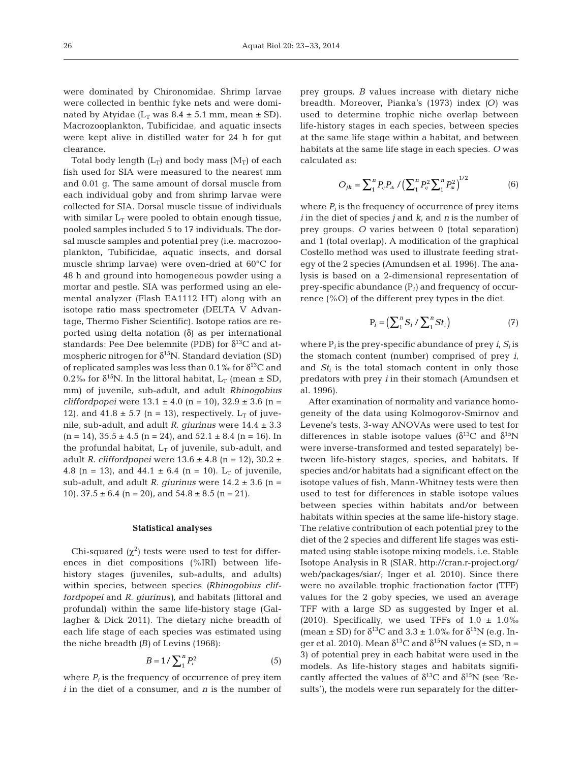were dominated by Chironomidae. Shrimp larvae were collected in benthic fyke nets and were dominated by Atyidae ( $L_T$  was 8.4  $\pm$  5.1 mm, mean  $\pm$  SD). Macrozooplankton, Tubificidae, and aquatic insects were kept alive in distilled water for 24 h for gut clearance.

Total body length  $(L_T)$  and body mass  $(M_T)$  of each fish used for SIA were measured to the nearest mm and 0.01 g. The same amount of dorsal muscle from each individual goby and from shrimp larvae were collected for SIA. Dorsal muscle tissue of individuals with similar  $L_T$  were pooled to obtain enough tissue, pooled samples included 5 to 17 individuals. The dorsal muscle samples and potential prey (i.e. macrozooplankton, Tubificidae, aquatic insects, and dorsal muscle shrimp larvae) were oven-dried at 60°C for 48 h and ground into homogeneous powder using a mortar and pestle. SIA was performed using an elemental analyzer (Flash EA1112 HT) along with an isotope ratio mass spectrometer (DELTA V Advantage, Thermo Fisher Scientific). Isotope ratios are reported using delta notation (δ) as per international standards: Pee Dee belemnite (PDB) for  $\delta^{13}$ C and atmospheric nitrogen for  $\delta^{15}N$ . Standard deviation (SD) of replicated samples was less than 0.1‰ for  $\delta^{13}C$  and 0.2‰ for  $\delta^{15}N$ . In the littoral habitat, L<sub>T</sub> (mean  $\pm$  SD, mm) of juvenile, sub-adult, and adult *Rhinogobius cliffordpopei* were 13.1 ± 4.0 (n = 10), 32.9 ± 3.6 (n = 12), and  $41.8 \pm 5.7$  (n = 13), respectively. L<sub>T</sub> of juvenile, sub-adult, and adult *R. giurinus* were 14.4 ± 3.3  $(n = 14)$ ,  $35.5 \pm 4.5$   $(n = 24)$ , and  $52.1 \pm 8.4$   $(n = 16)$ . In the profundal habitat,  $L_T$  of juvenile, sub-adult, and adult *R. cliffordpopei* were 13.6 ± 4.8 (n = 12), 30.2 ± 4.8 (n = 13), and  $44.1 \pm 6.4$  (n = 10). L<sub>T</sub> of juvenile, sub-adult, and adult *R. giurinus* were  $14.2 \pm 3.6$  (n = 10),  $37.5 \pm 6.4$  (n = 20), and  $54.8 \pm 8.5$  (n = 21).

#### **Statistical analyses**

Chi-squared  $(\chi^2)$  tests were used to test for differences in diet compositions (%IRI) between lifehistory stages (juveniles, sub-adults, and adults) within species, between species *(Rhinogobius cliffordpopei* and *R. giurinus)*, and habitats (littoral and profundal) within the same life-history stage (Gallagher & Dick 2011). The dietary niche breadth of each life stage of each species was estimated using the niche breadth *(B)* of Levins (1968):

$$
B = 1 / \sum_{i=1}^{n} P_i^2 \tag{5}
$$

where  $P_i$  is the frequency of occurrence of prey item *i* in the diet of a consumer, and *n* is the number of prey groups. *B* values increase with dietary niche breadth. Moreover, Pianka's (1973) index *(O)* was used to determine trophic niche overlap between life-history stages in each species, between species at the same life stage within a habitat, and between habitats at the same life stage in each species. *O* was calculated as:

$$
O_{jk} = \sum_{1}^{n} P_{ij} P_{ik} / \left(\sum_{1}^{n} P_{ij}^{2} \sum_{1}^{n} P_{ik}^{2}\right)^{1/2}
$$
 (6)

where  $P_i$  is the frequency of occurrence of prey items *i* in the diet of species *j* and *k*, and *n* is the number of prey groups. *O* varies between 0 (total separation) and 1 (total overlap). A modification of the graphical Costello method was used to illustrate feeding strategy of the 2 species (Amundsen et al. 1996). The ana lysis is based on a 2-dimensional representation of prey-specific abundance (P*i)* and frequency of occurrence (%O) of the different prey types in the diet.

$$
P_i = \left(\sum_{1}^{n} S_i / \sum_{1}^{n} St_i\right) \tag{7}
$$

where  $P_i$  is the prey-specific abundance of prey  $i$ ,  $S_i$  is the stomach content (number) comprised of prey *i*, and  $St_i$  is the total stomach content in only those predators with prey *i* in their stomach (Amundsen et al. 1996).

After examination of normality and variance homogeneity of the data using Kolmogorov-Smirnov and Levene's tests, 3-way ANOVAs were used to test for differences in stable isotope values ( $\delta^{13}$ C and  $\delta^{15}$ N were inverse-transformed and tested separately) between life-history stages, species, and habitats. If species and/or habitats had a significant effect on the isotope values of fish, Mann-Whitney tests were then used to test for differences in stable isotope values between species within habitats and/or between habitats within species at the same life-history stage. The relative contribution of each potential prey to the diet of the 2 species and different life stages was estimated using stable isotope mixing models, i.e. Stable Isotope Analysis in R (SIAR, http://cran.r- project. org/ web/packages/siar/; Inger et al. 2010). Since there were no available trophic fractionation factor (TFF) values for the 2 goby species, we used an average TFF with a large SD as suggested by Inger et al. (2010). Specifically, we used TFFs of  $1.0 \pm 1.0\%$ (mean  $\pm$  SD) for  $\delta^{13}$ C and 3.3  $\pm$  1.0‰ for  $\delta^{15}$ N (e.g. Inger et al. 2010). Mean  $\delta^{13}$ C and  $\delta^{15}$ N values ( $\pm$  SD, n = 3) of potential prey in each habitat were used in the models. As life-history stages and habitats significantly affected the values of  $\delta^{13}C$  and  $\delta^{15}N$  (see 'Results'), the models were run separately for the differ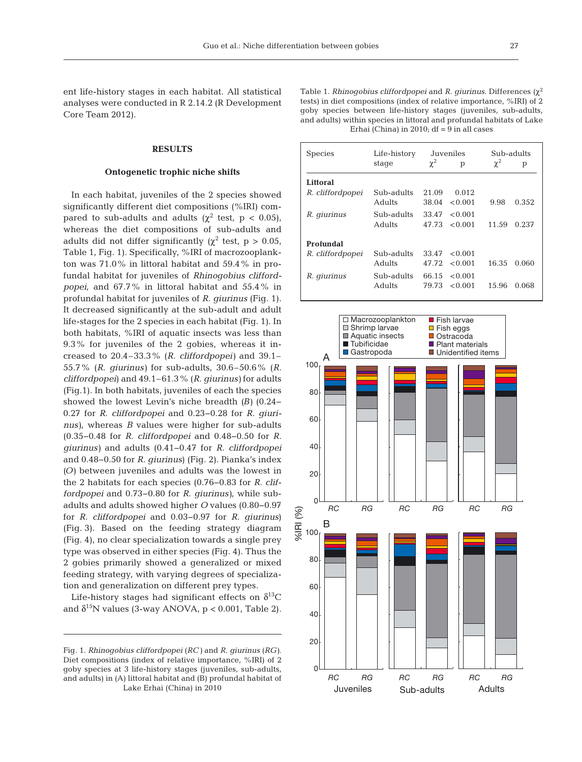ent life-history stages in each habitat. All statistical analyses were conducted in R 2.14.2 (R Development Core Team 2012).

### **RESULTS**

#### **Ontogenetic trophic niche shifts**

In each habitat, juveniles of the 2 species showed significantly different diet compositions (%IRI) compared to sub-adults and adults ( $\chi^2$  test, p < 0.05), whereas the diet compositions of sub-adults and adults did not differ significantly ( $\chi^2$  test, p > 0.05, Table 1, Fig. 1). Specifically, %IRI of macrozooplankton was 71.0% in littoral habitat and 59.4% in profundal habitat for juveniles of *Rhinogobius cliffordpopei*, and 67.7% in littoral habitat and 55.4% in profundal habitat for juveniles of *R. giurinus* (Fig. 1). It decreased significantly at the sub-adult and adult life-stages for the 2 species in each habitat (Fig. 1). In both habitats, %IRI of aquatic insects was less than 9.3% for juveniles of the 2 gobies, whereas it in creased to 20.4–33.3% (*R. cliffordpopei)* and 39.1– 55.7% (*R. giurinus)* for sub-adults, 30.6–50.6% (*R. cliffordpopei*) and 49.1–61.3% (*R. giurinus)* for adults (Fig.1). In both habitats, juveniles of each the species showed the lowest Levin's niche breadth *(B)* (0.24− 0.27 for *R. cliffordpopei* and 0.23−0.28 for *R. giurinus)*, whereas *B* values were higher for sub-adults (0.35− 0.48 for *R. cliffordpopei* and 0.48−0.50 for *R. giurinus)* and adults (0.41−0.47 for *R. cliffordpopei* and 0.48−0.50 for *R. giurinus*) (Fig. 2). Pianka's index *(O)* between juveniles and adults was the lowest in the 2 habitats for each species (0.76−0.83 for *R. cliffordpopei* and 0.73−0.80 for *R. giurinus)*, while subadults and adults showed higher *O* values (0.80−0.97 for *R. cliffordpopei* and 0.03−0.97 for *R. giurinus*) (Fig. 3). Based on the feeding strategy diagram (Fig. 4), no clear specialization towards a single prey type was observed in either species (Fig. 4). Thus the 2 gobies primarily showed a generalized or mixed feeding strategy, with varying degrees of specialization and generalization on different prey types.

Life-history stages had significant effects on  $\delta^{13}C$ and  $\delta^{15}$ N values (3-way ANOVA, p < 0.001, Table 2). Table 1. *Rhinogobius cliffordpopei* and *R. giurinus.* Differences (χ<sup>2</sup> tests) in diet compositions (index of relative importance, %IRI) of 2 goby species between life-history stages (juveniles, sub-adults, and adults) within species in littoral and profundal habitats of Lake Erhai (China) in  $2010$ ; df =  $9$  in all cases

| <b>Species</b>   | Life-history | Juveniles |         | Sub-adults |       |
|------------------|--------------|-----------|---------|------------|-------|
|                  | stage        | $\chi^2$  | p       | $\chi^2$   | р     |
| Littoral         |              |           |         |            |       |
| R. cliffordpopei | Sub-adults   | 21.09     | 0.012   |            |       |
|                  | Adults       | 38.04     | < 0.001 | 9.98       | 0.352 |
| R. giurinus      | Sub-adults   | 33.47     | < 0.001 |            |       |
|                  | Adults       | 47.73     | < 0.001 | 11.59      | 0.237 |
| Profundal        |              |           |         |            |       |
| R. cliffordpopei | Sub-adults   | 33.47     | < 0.001 |            |       |
|                  | Adults       | 47.72     | < 0.001 | 16.35      | 0.060 |
| R. giurinus      | Sub-adults   | 66.15     | < 0.001 |            |       |
|                  | Adults       | 79.73     | < 0.001 | 15.96      | 0.068 |



Fig. 1. *Rhinogobius cliffordpopei* (*RC)* and *R. giurinus* (*RG)*. Diet compositions (index of relative importance, %IRI) of 2 goby species at 3 life-history stages (juveniles, sub-adults, and adults) in (A) littoral habitat and (B) profundal habitat of Lake Erhai (China) in 2010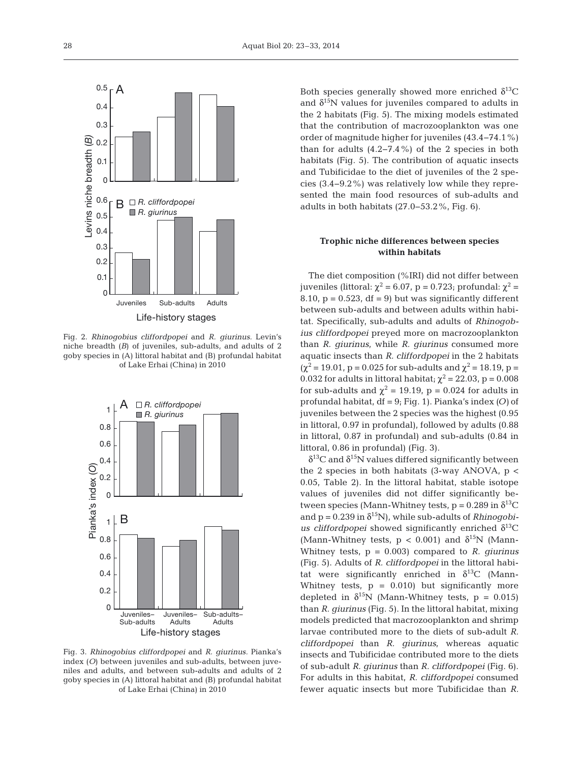

Fig. 2. *Rhinogobius cliffordpopei* and *R. giurinus.* Levin's niche breadth (*B*) of juveniles, sub-adults, and adults of 2 goby species in (A) littoral habitat and (B) profundal habitat of Lake Erhai (China) in 2010



Fig. 3. *Rhinogobius cliffordpopei* and *R. giurinus.* Pianka's index (*O*) between juveniles and sub-adults, between juveniles and adults, and between sub-adults and adults of 2 goby species in (A) littoral habitat and (B) profundal habitat of Lake Erhai (China) in 2010

Both species generally showed more enriched  $\delta^{13}C$ and  $\delta^{15}$ N values for juveniles compared to adults in the 2 habitats (Fig. 5). The mixing models estimated that the contribution of macrozooplankton was one order of magnitude higher for juveniles (43.4−74.1%) than for adults  $(4.2 - 7.4\%)$  of the 2 species in both habitats (Fig. 5). The contribution of aquatic insects and Tubificidae to the diet of juveniles of the 2 species (3.4−9.2%) was relatively low while they represented the main food resources of sub-adults and adults in both habitats (27.0−53.2%, Fig. 6).

# **Trophic niche differences between species within habitats**

The diet composition (%IRI) did not differ between juveniles (littoral:  $\chi^2$  = 6.07, p = 0.723; profundal:  $\chi^2$  = 8.10,  $p = 0.523$ ,  $df = 9$ ) but was significantly different between sub-adults and between adults within habitat. Specifically, sub-adults and adults of *Rhinogobius cliffordpopei* preyed more on macrozooplankton than *R. giurinus*, while *R. giurinus* consumed more aquatic insects than *R. cliffordpopei* in the 2 habitats  $(\chi^2 = 19.01, p = 0.025$  for sub-adults and  $\chi^2 = 18.19, p =$ 0.032 for adults in littoral habitat;  $\chi^2$  = 22.03, p = 0.008 for sub-adults and  $\chi^2 = 19.19$ , p = 0.024 for adults in profundal habitat, df = 9; Fig. 1). Pianka's index *(O)* of juveniles between the 2 species was the highest (0.95 in littoral, 0.97 in profundal), followed by adults (0.88 in littoral, 0.87 in profundal) and sub-adults (0.84 in littoral, 0.86 in profundal) (Fig. 3).

 $\delta^{13}$ C and  $\delta^{15}$ N values differed significantly between the 2 species in both habitats  $(3-way ANOVA, p <$ 0.05, Table 2). In the littoral habitat, stable isotope values of juveniles did not differ significantly be tween species (Mann-Whitney tests,  $p = 0.289$  in  $\delta^{13}C$ and  $p = 0.239$  in  $\delta^{15}N$ ), while sub-adults of *Rhinogobius cliffordpopei* showed significantly enriched  $\delta^{13}$ C (Mann-Whitney tests,  $p < 0.001$ ) and  $\delta^{15}N$  (Mann-Whitney tests, p = 0.003) compared to *R. giurinus* (Fig. 5). Adults of *R. cliffordpopei* in the littoral habitat were significantly enriched in  $\delta^{13}$ C (Mann-Whitney tests,  $p = 0.010$  but significantly more depleted in  $\delta^{15}N$  (Mann-Whitney tests, p = 0.015) than *R. giurinus* (Fig. 5). In the littoral habitat, mixing models predicted that macrozooplankton and shrimp larvae contributed more to the diets of sub-adult *R. cliffordpopei* than *R. giurinus*, whereas aquatic insects and Tubificidae contributed more to the diets of sub-adult *R. giurinus* than *R. cliffordpopei* (Fig. 6). For adults in this habitat, *R. cliffordpopei* consumed fewer aquatic insects but more Tubificidae than *R.*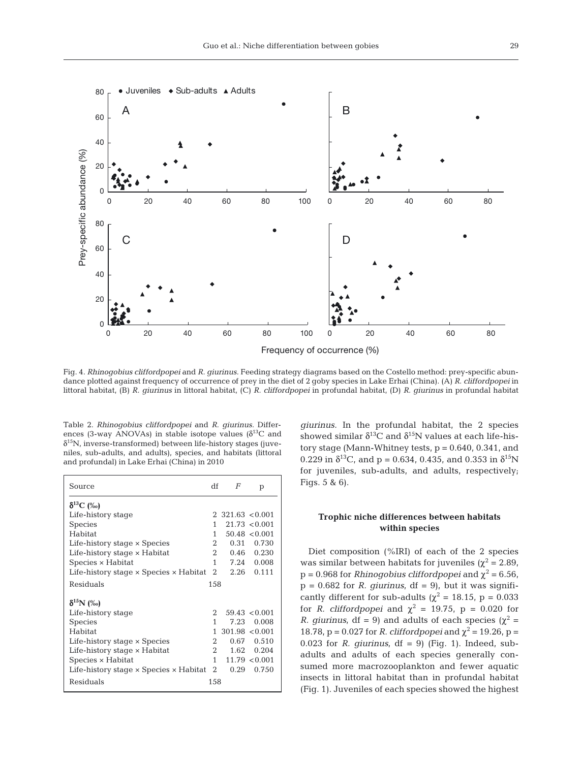

Fig. 4. *Rhinogobius cliffordpopei* and *R. giurinus.* Feeding strategy diagrams based on the Costello method: prey-specific abundance plotted against frequency of occurrence of prey in the diet of 2 goby species in Lake Erhai (China). (A) *R. cliffordpopei* in littoral habitat, (B) *R. giurinus* in littoral habitat, (C) *R. cliffordpopei* in profundal habitat, (D) *R. giurinus* in profundal habitat

Table 2. *Rhinogobius cliffordpopei* and *R. giurinus.* Differences (3-way ANOVAs) in stable isotope values ( $\delta^{13}$ C and  $\delta^{15}$ N, inverse-transformed) between life-history stages (juveniles, sub-adults, and adults), species, and habitats (littoral and profundal) in Lake Erhai (China) in 2010

| Source                                               | df           | F                    | p                 |
|------------------------------------------------------|--------------|----------------------|-------------------|
| $\delta^{13}C$ (‰)                                   |              |                      |                   |
| Life-history stage                                   |              | $2,321.63$ < 0.001   |                   |
| <b>Species</b>                                       | 1            |                      | $21.73 \le 0.001$ |
| <b>Habitat</b>                                       | $\mathbf{1}$ |                      | 50.48 < 0.001     |
| Life-history stage × Species                         | 2            | 0.31                 | 0.730             |
| Life-history stage × Habitat                         |              | $2^{\circ}$<br>0.46  | 0.230             |
| Species × Habitat                                    | 1            | 7.24                 | 0.008             |
| Life-history stage $\times$ Species $\times$ Habitat |              | $\mathbf{2}$<br>2.26 | 0.111             |
| Residuals                                            | 158          |                      |                   |
| $\delta^{15}N$ (%)                                   |              |                      |                   |
| Life-history stage                                   | 2            |                      | $59.43 \le 0.001$ |
| <b>Species</b>                                       | 1            | 7.23                 | 0.008             |
| <b>Habitat</b>                                       | 1            | $301.98 \le 0.001$   |                   |
| Life-history stage $\times$ Species                  | 2            | 0.67                 | 0.510             |
| Life-history stage × Habitat                         |              | 2<br>1.62            | 0.204             |
| Species × Habitat                                    | $\mathbf{1}$ |                      | $11.79 \le 0.001$ |
| Life-history stage $\times$ Species $\times$ Habitat |              | $\mathbf{2}$<br>0.29 | 0.750             |
| Residuals                                            | 158          |                      |                   |

*giurinus.* In the profundal habitat, the 2 species showed similar  $\delta^{13}$ C and  $\delta^{15}$ N values at each life-history stage (Mann-Whitney tests,  $p = 0.640$ , 0.341, and 0.229 in  $\delta^{13}$ C, and p = 0.634, 0.435, and 0.353 in  $\delta^{15}$ N for juveniles, sub-adults, and adults, respectively; Figs. 5 & 6).

# **Trophic niche differences between habitats within species**

Diet composition (%IRI) of each of the 2 species was similar between habitats for juveniles ( $\chi^2$  = 2.89,  $p = 0.968$  for *Rhinogobius cliffordpopei* and  $\chi^2 = 6.56$ ,  $p = 0.682$  for *R. giurinus*, df = 9), but it was significantly different for sub-adults ( $\chi^2$  = 18.15, p = 0.033 for *R. cliffordpopei* and  $\chi^2 = 19.75$ ,  $p = 0.020$  for *R. giurinus*, df = 9) and adults of each species ( $\chi^2$  = 18.78,  $p = 0.027$  for *R. cliffordpopei* and  $χ² = 19.26$ ,  $p =$ 0.023 for *R. giurinus*,  $df = 9$  (Fig. 1). Indeed, subadults and adults of each species generally consumed more macrozooplankton and fewer aquatic insects in littoral habitat than in profundal habitat (Fig. 1). Juveniles of each species showed the highest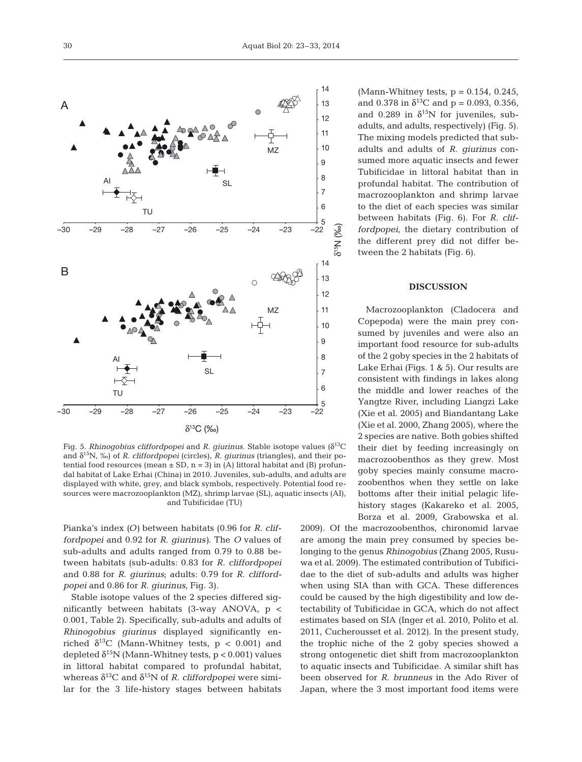

Fig. 5. *Rhinogobius cliffordpopei* and *R. giurinus.* Stable isotope values (δ13C and δ15N, ‰) of *R. cliffordpopei* (circles), *R. giurinus* (triangles), and their potential food resources (mean  $\pm$  SD, n = 3) in (A) littoral habitat and (B) profundal habitat of Lake Erhai (China) in 2010. Juveniles, sub-adults, and adults are displayed with white, grey, and black symbols, respectively. Potential food resources were macrozooplankton (MZ), shrimp larvae (SL), aquatic insects (AI), and Tubificidae (TU)

Pianka's index *(O)* between habitats (0.96 for *R. cliffordpopei* and 0.92 for *R. giurinus)*. The *O* values of sub-adults and adults ranged from 0.79 to 0.88 be tween habitats (sub-adults: 0.83 for *R. cliffordpopei* and 0.88 for *R. giurinus*; adults: 0.79 for *R. cliffordpopei* and 0.86 for *R. giurinus*, Fig. 3).

Stable isotope values of the 2 species differed significantly between habitats (3-way ANOVA, p < 0.001, Table 2). Specifically, sub-adults and adults of *Rhinogobius giurinus* displayed significantly enriched  $\delta^{13}$ C (Mann-Whitney tests, p < 0.001) and depleted  $\delta^{15}N$  (Mann-Whitney tests, p < 0.001) values in littoral habitat compared to profundal habitat, whereas  $\delta^{13}C$  and  $\delta^{15}N$  of *R. cliffordpopei* were similar for the 3 life-history stages between habitats

(Mann-Whitney tests,  $p = 0.154$ , 0.245, and 0.378 in  $\delta^{13}$ C and p = 0.093, 0.356, and 0.289 in  $\delta^{15}$ N for juveniles, subadults, and adults, respectively) (Fig. 5). The mixing models predicted that subadults and adults of *R. giurinus* consumed more aquatic insects and fewer Tubificidae in littoral habitat than in profundal habitat. The contribution of macrozooplankton and shrimp larvae to the diet of each species was similar between habitats (Fig. 6). For *R. cliffordpopei*, the dietary contribution of the different prey did not differ be tween the 2 habitats (Fig. 6).

#### **DISCUSSION**

Macrozooplankton (Cladocera and Copepoda) were the main prey consumed by juveniles and were also an important food resource for sub-adults of the 2 goby species in the 2 habitats of Lake Erhai (Figs. 1 & 5). Our results are consistent with findings in lakes along the middle and lower reaches of the Yangtze River, including Liangzi Lake (Xie et al. 2005) and Biandantang Lake (Xie et al. 2000, Zhang 2005), where the 2 species are native. Both gobies shifted their diet by feeding increasingly on macrozoobenthos as they grew. Most goby species mainly consume macrozoobenthos when they settle on lake bottoms after their initial pelagic lifehistory stages (Kakareko et al. 2005, Borza et al. 2009, Grabowska et al.

2009). Of the macrozoobenthos, chironomid larvae are among the main prey consumed by species belonging to the genus *Rhinogobius* (Zhang 2005, Rusu wa et al. 2009). The estimated contribution of Tubificidae to the diet of sub-adults and adults was higher when using SIA than with GCA. These differences could be caused by the high digestibility and low detectability of Tubificidae in GCA, which do not affect estimates based on SIA (Inger et al. 2010, Polito et al. 2011, Cucherousset et al. 2012). In the present study, the trophic niche of the 2 goby species showed a strong ontogenetic diet shift from macrozooplankton to aquatic insects and Tubificidae. A similar shift has been observed for *R. brunneus* in the Ado River of Japan, where the 3 most important food items were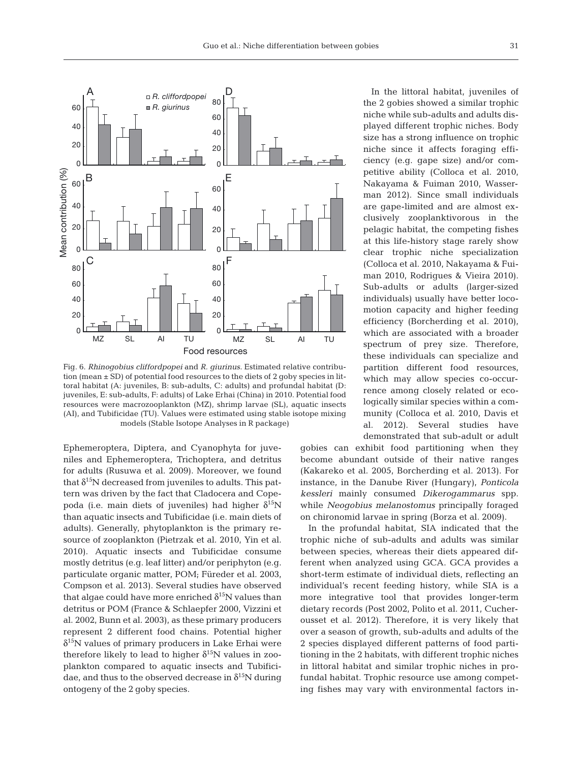

Fig. 6. *Rhinogobius cliffordpopei* and *R. giurinus*. Estimated relative contribution (mean ± SD) of potential food resources to the diets of 2 goby species in littoral habitat (A: juveniles, B: sub-adults, C: adults) and profundal habitat (D: juveniles, E: sub-adults, F: adults) of Lake Erhai (China) in 2010. Potential food resources were macrozooplankton (MZ), shrimp larvae (SL), aquatic insects (AI), and Tubificidae (TU). Values were estimated using stable isotope mixing models (Stable Isotope Analyses in R package)

Ephemeroptera, Diptera, and Cyanophyta for juveniles and Ephemeroptera, Trichoptera, and detritus for adults (Rusuwa et al. 2009). Moreover, we found that  $\delta^{15}N$  decreased from juveniles to adults. This pattern was driven by the fact that Cladocera and Copepoda (i.e. main diets of juveniles) had higher  $δ<sup>15</sup>N$ than aquatic insects and Tubificidae (i.e. main diets of adults). Generally, phytoplankton is the primary resource of zooplankton (Pietrzak et al. 2010, Yin et al. 2010). Aquatic insects and Tubificidae consume mostly detritus (e.g. leaf litter) and/or periphyton (e.g. particulate organic matter, POM; Füreder et al. 2003, Compson et al. 2013). Several studies have observed that algae could have more enriched  $\delta^{15}N$  values than detritus or POM (France & Schlaepfer 2000, Vizzini et al. 2002, Bunn et al. 2003), as these primary producers represent 2 different food chains. Potential higher  $\delta^{15}$ N values of primary producers in Lake Erhai were therefore likely to lead to higher  $\delta^{15}N$  values in zooplankton compared to aquatic insects and Tubificidae, and thus to the observed decrease in  $\delta^{15}N$  during ontogeny of the 2 goby species.

In the littoral habitat, juveniles of the 2 gobies showed a similar trophic niche while sub-adults and adults displayed different trophic niches. Body size has a strong influence on trophic niche since it affects foraging efficiency (e.g. gape size) and/or competitive ability (Colloca et al. 2010, Nakayama & Fuiman 2010, Wasserman 2012). Since small individuals are gape-limited and are almost exclusively zooplanktivorous in the pelagic habitat, the competing fishes at this life-history stage rarely show clear trophic niche specialization (Colloca et al. 2010, Nakayama & Fuiman 2010, Rodrigues & Vieira 2010). Sub-adults or adults (larger-sized individuals) usually have better locomotion capacity and higher feeding efficiency (Borcherding et al. 2010), which are associated with a broader spectrum of prey size. Therefore, these individuals can specialize and partition different food resources, which may allow species co-occurrence among closely related or ecologically similar species within a community (Colloca et al. 2010, Davis et al. 2012). Several studies have demonstrated that sub-adult or adult

gobies can exhibit food partitioning when they become abundant outside of their native ranges (Kakareko et al. 2005, Borcherding et al. 2013). For instance, in the Danube River (Hungary), *Ponticola kessleri* mainly consumed *Dikerogammarus* spp. while *Neogobius melanostomus* principally foraged on chironomid larvae in spring (Borza et al. 2009).

In the profundal habitat, SIA indicated that the trophic niche of sub-adults and adults was similar between species, whereas their diets appeared different when analyzed using GCA. GCA provides a short-term estimate of individual diets, reflecting an individual's recent feeding history, while SIA is a more integrative tool that provides longer-term dietary records (Post 2002, Polito et al. 2011, Cucherousset et al. 2012). Therefore, it is very likely that over a season of growth, sub-adults and adults of the 2 species displayed different patterns of food partitioning in the 2 habitats, with different trophic niches in littoral habitat and similar trophic niches in profundal habitat. Trophic resource use among competing fishes may vary with environmental factors in -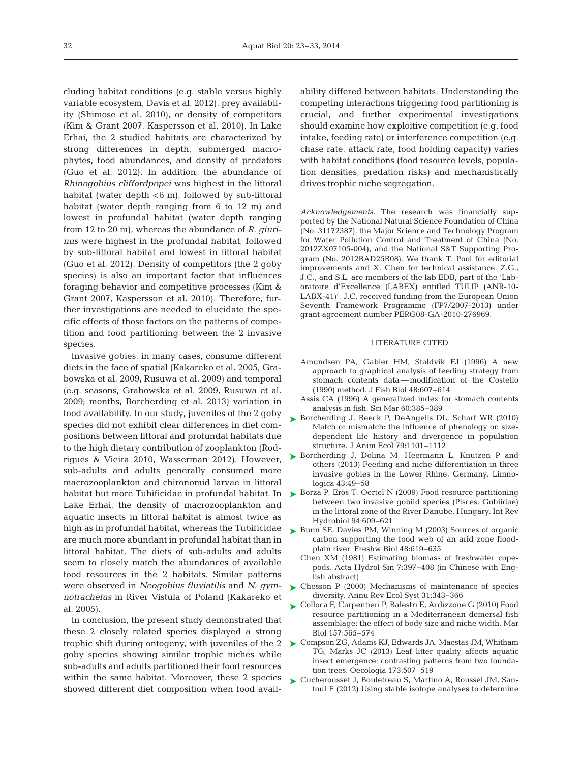cluding habitat conditions (e.g. stable versus highly variable ecosystem, Davis et al. 2012), prey availability (Shimose et al. 2010), or density of competitors (Kim & Grant 2007, Kaspersson et al. 2010). In Lake Erhai, the 2 studied habitats are characterized by strong differences in depth, submerged macrophytes, food abundances, and density of predators (Guo et al. 2012). In addition, the abundance of *Rhino gobius cliffordpopei* was highest in the littoral habitat (water depth < 6 m), followed by sub-littoral habitat (water depth ranging from 6 to 12 m) and lowest in profundal habitat (water depth ranging from 12 to 20 m), whereas the abundance of *R. giurinus* were highest in the profundal habitat, followed by sub-littoral habitat and lowest in littoral habitat (Guo et al. 2012). Density of competitors (the 2 goby species) is also an important factor that influences foraging behavior and competitive processes (Kim & Grant 2007, Kaspersson et al. 2010). Therefore, further investigations are needed to elucidate the specific effects of those factors on the patterns of competition and food partitioning between the 2 invasive species.

Invasive gobies, in many cases, consume different diets in the face of spatial (Kakareko et al. 2005, Grabows ka et al. 2009, Rusuwa et al. 2009) and temporal (e.g. seasons, Grabowska et al. 2009, Rusuwa et al. 2009; months, Borcherding et al. 2013) variation in food availability. In our study, juveniles of the 2 goby species did not exhibit clear differences in diet compositions between littoral and profundal habitats due to the high dietary contribution of zooplankton (Rodrigues & Vieira 2010, Wasserman 2012). However, sub-adults and adults generally consumed more macrozooplankton and chironomid larvae in littoral habitat but more Tubificidae in profundal habitat. In Lake Erhai, the density of macrozooplankton and aquatic insects in littoral habitat is almost twice as high as in profundal habitat, whereas the Tubificidae are much more abundant in profundal habitat than in littoral habitat. The diets of sub-adults and adults seem to closely match the abundances of available food resources in the 2 habitats. Similar patterns were observed in *Neogobius fluviatilis* and *N. gymnotrachelus* in River Vistula of Poland (Kakareko et al. 2005).

In conclusion, the present study demonstrated that these 2 closely related species displayed a strong trophic shift during ontogeny, with juveniles of the 2 goby species showing similar trophic niches while sub-adults and adults partitioned their food resources within the same habitat. Moreover, these 2 species showed different diet composition when food availability differed between habitats. Understanding the competing interactions triggering food partitioning is crucial, and further experimental investigations should examine how exploitive competition (e.g. food intake, feeding rate) or interference competition (e.g. chase rate, attack rate, food holding capacity) varies with habitat conditions (food resource levels, population densities, predation risks) and mechanistically drives trophic niche segregation.

*Acknowledgements*. The research was financially supported by the National Natural Science Foundation of China (No. 31172387), the Major Science and Technology Program for Water Pollution Control and Treatment of China (No. 2012ZX07105-004), and the National S&T Supporting Program (No. 2012BAD25B08). We thank T. Pool for editorial improvements and X. Chen for technical assistance. Z.G., J.C., and S.L. are members of the lab EDB, part of the 'Laboratoire d'Excellence (LABEX) entitled TULIP (ANR-10- LABX-41)'. J.C. received funding from the European Union Seventh Framework Programme (FP7/2007-2013) under grant agreement number PERG08-GA-2010-276969.

#### LITERATURE CITED

- Amundsen PA, Gabler HM, Staldvik FJ (1996) A new approach to graphical analysis of feeding strategy from stomach contents data— modification of the Costello (1990) method. J Fish Biol 48: 607−614
- Assis CA (1996) A generalized index for stomach contents analysis in fish. Sci Mar 60:385-389
- ▶ [Borcherding J, Beeck P, DeAngelis DL, Scharf WR \(2010\)](http://dx.doi.org/10.1111/j.1365-2656.2010.01704.x) Match or mismatch: the influence of phenology on sizedependent life history and divergence in population structure. J Anim Ecol 79: 1101−1112
- ▶ [Borcherding J, Dolina M, Heermann L, Knutzen P and](http://dx.doi.org/10.1016/j.limno.2012.08.003) others (2013) Feeding and niche differentiation in three invasive gobies in the Lower Rhine, Germany. Limno logica 43:49–58
- ► [Borza P, Erös T, Oertel N \(2009\) Food resource partitioning](http://dx.doi.org/10.1002/iroh.200911134) between two invasive gobiid species (Pisces, Gobiidae) in the littoral zone of the River Danube, Hungary. Int Rev Hydrobiol 94:609-621
- ► [Bunn SE, Davies PM, Winning M \(2003\) Sources of organic](http://dx.doi.org/10.1046/j.1365-2427.2003.01031.x) carbon supporting the food web of an arid zone floodplain river. Freshw Biol 48:619-635
	- Chen XM (1981) Estimating biomass of freshwater copepods. Acta Hydrol Sin 7: 397−408 (in Chinese with English abstract)
- [Chesson P \(2000\) Mechanisms of maintenance of species](http://dx.doi.org/10.1146/annurev.ecolsys.31.1.343) diversity. Annu Rev Ecol Syst 31: 343−366 ➤
- [Colloca F, Carpentieri P, Balestri E, Ardizzone G \(2010\) Food](http://dx.doi.org/10.1007/s00227-009-1342-7) ➤ resource partitioning in a Mediterranean demersal fish assemblage: the effect of body size and niche width. Mar Biol 157:565-574
- ► [Compson ZG, Adams KJ, Edwards JA, Maestas JM, Whitham](http://www.ncbi.nlm.nih.gov/entrez/query.fcgi?cmd=Retrieve&db=PubMed&list_uids=23532583&dopt=Abstract) TG, Marks JC (2013) Leaf litter quality affects aquatic insect emergence: contrasting patterns from two foundation trees. Oecologia 173:507-519
- ► [Cucherousset J, Bouletreau S, Martino A, Roussel JM, San](http://dx.doi.org/10.1111/j.1365-2400.2011.00824.x)toul F (2012) Using stable isotope analyses to determine